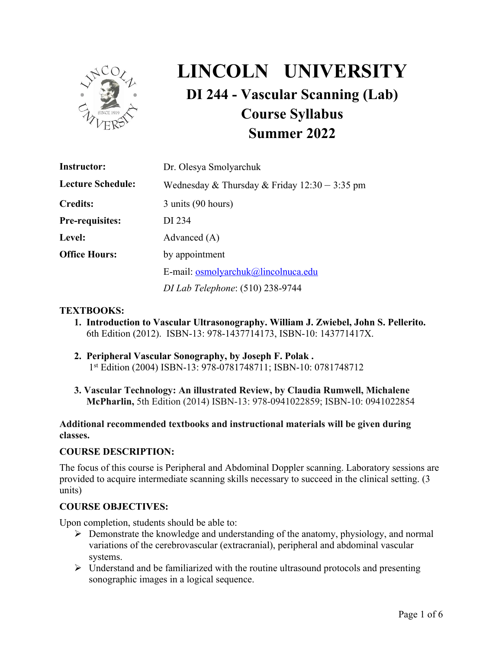

# **LINCOLN UNIVERSITY DI 244 - Vascular Scanning (Lab) Course Syllabus Summer 2022**

| <b>Instructor:</b>       | Dr. Olesya Smolyarchuk                          |  |  |  |  |  |
|--------------------------|-------------------------------------------------|--|--|--|--|--|
| <b>Lecture Schedule:</b> | Wednesday & Thursday & Friday $12:30 - 3:35$ pm |  |  |  |  |  |
| <b>Credits:</b>          | 3 units (90 hours)                              |  |  |  |  |  |
| <b>Pre-requisites:</b>   | DI 234                                          |  |  |  |  |  |
| Level:                   | Advanced $(A)$                                  |  |  |  |  |  |
| <b>Office Hours:</b>     | by appointment                                  |  |  |  |  |  |
|                          | E-mail: osmolyarchuk@lincolnuca.edu             |  |  |  |  |  |
|                          | <i>DI Lab Telephone</i> : (510) 238-9744        |  |  |  |  |  |

### **TEXTBOOKS:**

- **1. Introduction to Vascular Ultrasonography. William J. Zwiebel, John S. Pellerito.** 6th Edition (2012). ISBN-13: 978-1437714173, ISBN-10: 143771417X.
- **2. Peripheral Vascular Sonography, by Joseph F. Polak .**  1st Edition (2004) ISBN-13: 978-0781748711; ISBN-10: 0781748712
- **3. Vascular Technology: An illustrated Review, by Claudia Rumwell, Michalene McPharlin,** 5th Edition (2014) ISBN-13: 978-0941022859; ISBN-10: 0941022854

### **Additional recommended textbooks and instructional materials will be given during classes.**

#### **COURSE DESCRIPTION:**

The focus of this course is Peripheral and Abdominal Doppler scanning. Laboratory sessions are provided to acquire intermediate scanning skills necessary to succeed in the clinical setting. (3 units)

#### **COURSE OBJECTIVES:**

Upon completion, students should be able to:

- $\triangleright$  Demonstrate the knowledge and understanding of the anatomy, physiology, and normal variations of the cerebrovascular (extracranial), peripheral and abdominal vascular systems.
- $\triangleright$  Understand and be familiarized with the routine ultrasound protocols and presenting sonographic images in a logical sequence.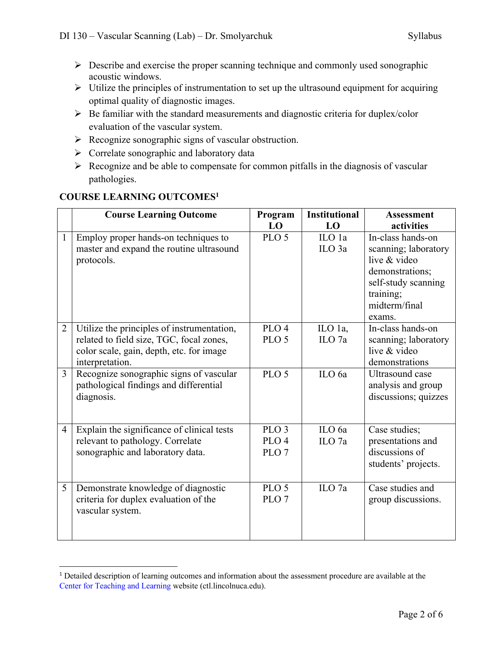- $\triangleright$  Describe and exercise the proper scanning technique and commonly used sonographic acoustic windows.
- $\triangleright$  Utilize the principles of instrumentation to set up the ultrasound equipment for acquiring optimal quality of diagnostic images.
- $\triangleright$  Be familiar with the standard measurements and diagnostic criteria for duplex/color evaluation of the vascular system.
- $\triangleright$  Recognize sonographic signs of vascular obstruction.
- $\triangleright$  Correlate sonographic and laboratory data
- $\triangleright$  Recognize and be able to compensate for common pitfalls in the diagnosis of vascular pathologies.

| <b>COURSE LEARNING OUTCOMES1</b> |  |
|----------------------------------|--|
|                                  |  |

|                | <b>Course Learning Outcome</b>             | Program<br>LO    | <b>Institutional</b><br>LO | <b>Assessment</b>    |  |
|----------------|--------------------------------------------|------------------|----------------------------|----------------------|--|
|                |                                            |                  |                            | activities           |  |
| $\mathbf{1}$   | Employ proper hands-on techniques to       | PLO <sub>5</sub> | ILO 1a                     | In-class hands-on    |  |
|                | master and expand the routine ultrasound   |                  | ILO <sub>3a</sub>          | scanning; laboratory |  |
|                | protocols.                                 |                  |                            | live & video         |  |
|                |                                            |                  |                            | demonstrations;      |  |
|                |                                            |                  |                            | self-study scanning  |  |
|                |                                            |                  |                            | training;            |  |
|                |                                            |                  |                            | midterm/final        |  |
|                |                                            |                  |                            | exams.               |  |
| $\overline{2}$ | Utilize the principles of instrumentation, | PLO <sub>4</sub> | ILO 1a,                    | In-class hands-on    |  |
|                | related to field size, TGC, focal zones,   | PLO <sub>5</sub> | ILO <sub>7a</sub>          | scanning; laboratory |  |
|                | color scale, gain, depth, etc. for image   |                  |                            | live & video         |  |
|                | interpretation.                            |                  |                            | demonstrations       |  |
| $\overline{3}$ | Recognize sonographic signs of vascular    | PLO <sub>5</sub> | ILO 6a                     | Ultrasound case      |  |
|                | pathological findings and differential     |                  |                            | analysis and group   |  |
|                | diagnosis.                                 |                  |                            | discussions; quizzes |  |
|                |                                            |                  |                            |                      |  |
|                |                                            |                  |                            |                      |  |
| $\overline{4}$ | Explain the significance of clinical tests | PLO <sub>3</sub> | ILO 6a                     | Case studies;        |  |
|                | relevant to pathology. Correlate           | PLO <sub>4</sub> | $\rm ILO$ 7a               | presentations and    |  |
|                | sonographic and laboratory data.           | PLO <sub>7</sub> |                            | discussions of       |  |
|                |                                            |                  |                            | students' projects.  |  |
|                |                                            |                  |                            |                      |  |
| 5              | Demonstrate knowledge of diagnostic        | PLO <sub>5</sub> | ILO <sub>7a</sub>          | Case studies and     |  |
|                | criteria for duplex evaluation of the      | PLO <sub>7</sub> |                            | group discussions.   |  |
|                | vascular system.                           |                  |                            |                      |  |
|                |                                            |                  |                            |                      |  |
|                |                                            |                  |                            |                      |  |
|                |                                            |                  |                            |                      |  |

<sup>&</sup>lt;sup>1</sup> Detailed description of learning outcomes and information about the assessment procedure are available at the Center for Teaching and Learning website (ctl.lincolnuca.edu).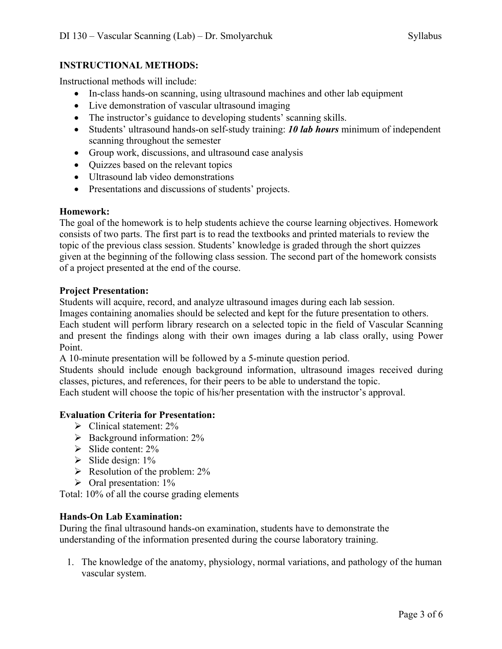## **INSTRUCTIONAL METHODS:**

Instructional methods will include:

- In-class hands-on scanning, using ultrasound machines and other lab equipment
- Live demonstration of vascular ultrasound imaging
- The instructor's guidance to developing students' scanning skills.
- Students' ultrasound hands-on self-study training: *10 lab hours* minimum of independent scanning throughout the semester
- Group work, discussions, and ultrasound case analysis
- Quizzes based on the relevant topics
- Ultrasound lab video demonstrations
- Presentations and discussions of students' projects.

## **Homework:**

The goal of the homework is to help students achieve the course learning objectives. Homework consists of two parts. The first part is to read the textbooks and printed materials to review the topic of the previous class session. Students' knowledge is graded through the short quizzes given at the beginning of the following class session. The second part of the homework consists of a project presented at the end of the course.

### **Project Presentation:**

Students will acquire, record, and analyze ultrasound images during each lab session.

Images containing anomalies should be selected and kept for the future presentation to others.

Each student will perform library research on a selected topic in the field of Vascular Scanning and present the findings along with their own images during a lab class orally, using Power Point.

A 10-minute presentation will be followed by a 5-minute question period.

Students should include enough background information, ultrasound images received during classes, pictures, and references, for their peers to be able to understand the topic.

Each student will choose the topic of his/her presentation with the instructor's approval.

## **Evaluation Criteria for Presentation:**

- $\triangleright$  Clinical statement: 2%
- $\triangleright$  Background information: 2%
- $\triangleright$  Slide content: 2%
- $\triangleright$  Slide design: 1%
- $\triangleright$  Resolution of the problem: 2%
- $\triangleright$  Oral presentation: 1%

Total: 10% of all the course grading elements

## **Hands-On Lab Examination:**

During the final ultrasound hands-on examination, students have to demonstrate the understanding of the information presented during the course laboratory training.

1. The knowledge of the anatomy, physiology, normal variations, and pathology of the human vascular system.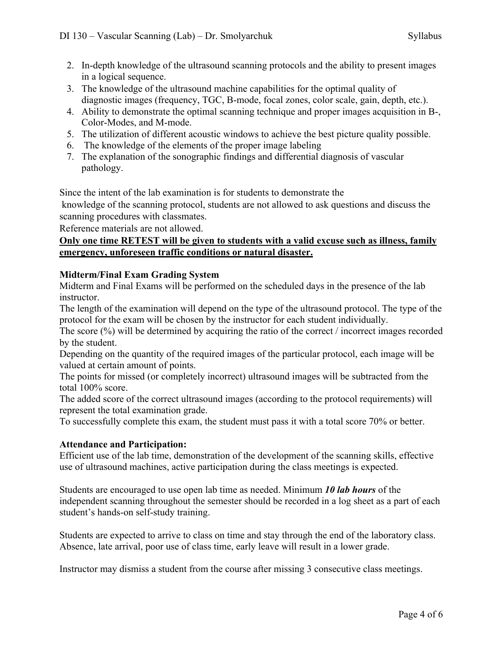- 2. In-depth knowledge of the ultrasound scanning protocols and the ability to present images in a logical sequence.
- 3. The knowledge of the ultrasound machine capabilities for the optimal quality of diagnostic images (frequency, TGC, B-mode, focal zones, color scale, gain, depth, etc.).
- 4. Ability to demonstrate the optimal scanning technique and proper images acquisition in B-, Color-Modes, and M-mode.
- 5. The utilization of different acoustic windows to achieve the best picture quality possible.
- 6. The knowledge of the elements of the proper image labeling
- 7. The explanation of the sonographic findings and differential diagnosis of vascular pathology.

Since the intent of the lab examination is for students to demonstrate the

knowledge of the scanning protocol, students are not allowed to ask questions and discuss the scanning procedures with classmates.

Reference materials are not allowed.

## **Only one time RETEST will be given to students with a valid excuse such as illness, family emergency, unforeseen traffic conditions or natural disaster.**

## **Midterm/Final Exam Grading System**

Midterm and Final Exams will be performed on the scheduled days in the presence of the lab instructor.

The length of the examination will depend on the type of the ultrasound protocol. The type of the protocol for the exam will be chosen by the instructor for each student individually.

The score (%) will be determined by acquiring the ratio of the correct / incorrect images recorded by the student.

Depending on the quantity of the required images of the particular protocol, each image will be valued at certain amount of points.

The points for missed (or completely incorrect) ultrasound images will be subtracted from the total 100% score.

The added score of the correct ultrasound images (according to the protocol requirements) will represent the total examination grade.

To successfully complete this exam, the student must pass it with a total score 70% or better.

## **Attendance and Participation:**

Efficient use of the lab time, demonstration of the development of the scanning skills, effective use of ultrasound machines, active participation during the class meetings is expected.

Students are encouraged to use open lab time as needed. Minimum *10 lab hours* of the independent scanning throughout the semester should be recorded in a log sheet as a part of each student's hands-on self-study training.

Students are expected to arrive to class on time and stay through the end of the laboratory class. Absence, late arrival, poor use of class time, early leave will result in a lower grade.

Instructor may dismiss a student from the course after missing 3 consecutive class meetings.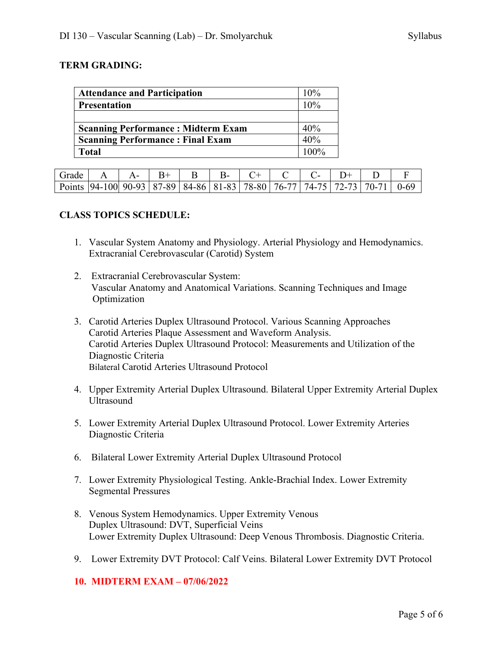### **TERM GRADING:**

| <b>Attendance and Participation</b>       | 10%     |
|-------------------------------------------|---------|
| <b>Presentation</b>                       | 10%     |
|                                           |         |
| <b>Scanning Performance: Midterm Exam</b> | 40%     |
| <b>Scanning Performance: Final Exam</b>   | 40%     |
| Total                                     | $100\%$ |

| Grade                                                                                 |  |  |  |  |  |  |
|---------------------------------------------------------------------------------------|--|--|--|--|--|--|
| Points   94-100 90-93   87-89   84-86   81-83   78-80   76-77   74-75   72-73   70-71 |  |  |  |  |  |  |

### **CLASS TOPICS SCHEDULE:**

- 1. Vascular System Anatomy and Physiology. Arterial Physiology and Hemodynamics. Extracranial Cerebrovascular (Carotid) System
- 2. Extracranial Cerebrovascular System: Vascular Anatomy and Anatomical Variations. Scanning Techniques and Image Optimization
- 3. Carotid Arteries Duplex Ultrasound Protocol. Various Scanning Approaches Carotid Arteries Plaque Assessment and Waveform Analysis. Carotid Arteries Duplex Ultrasound Protocol: Measurements and Utilization of the Diagnostic Criteria Bilateral Carotid Arteries Ultrasound Protocol
- 4. Upper Extremity Arterial Duplex Ultrasound. Bilateral Upper Extremity Arterial Duplex Ultrasound
- 5. Lower Extremity Arterial Duplex Ultrasound Protocol. Lower Extremity Arteries Diagnostic Criteria
- 6. Bilateral Lower Extremity Arterial Duplex Ultrasound Protocol
- 7. Lower Extremity Physiological Testing. Ankle-Brachial Index. Lower Extremity Segmental Pressures
- 8. Venous System Hemodynamics. Upper Extremity Venous Duplex Ultrasound: DVT, Superficial Veins Lower Extremity Duplex Ultrasound: Deep Venous Thrombosis. Diagnostic Criteria.
- 9. Lower Extremity DVT Protocol: Calf Veins. Bilateral Lower Extremity DVT Protocol

### **10. MIDTERM EXAM – 07/06/2022**